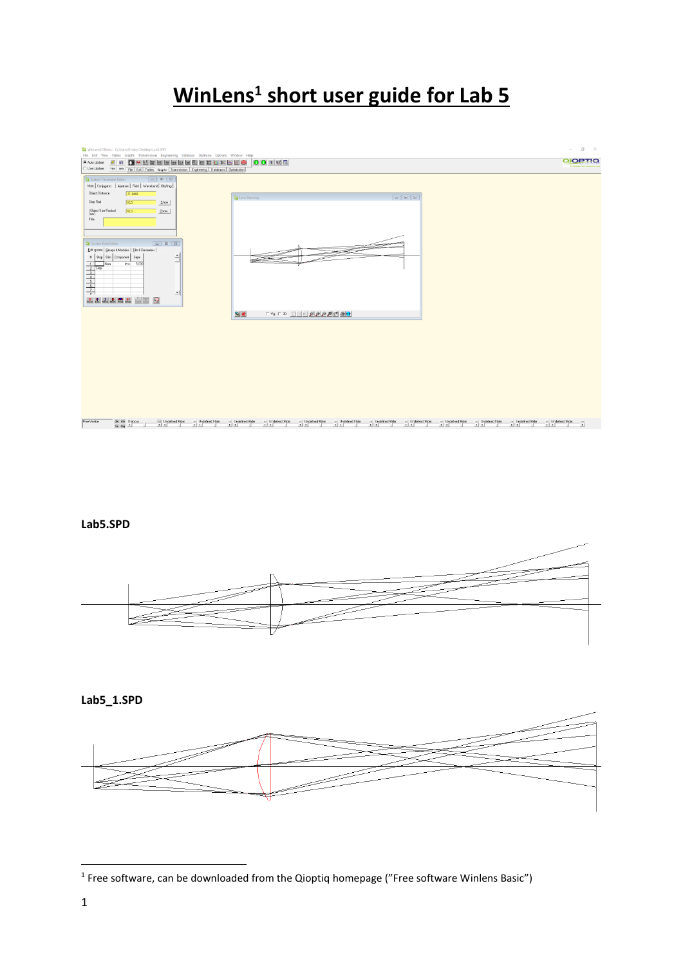# **WinLens<sup>1</sup> short user guide for Lab 5**



#### **Lab5.SPD**



#### **Lab5\_1.SPD**



**.** 

<sup>&</sup>lt;sup>1</sup> Free software, can be downloaded from the Qioptiq homepage ("Free software Winlens Basic")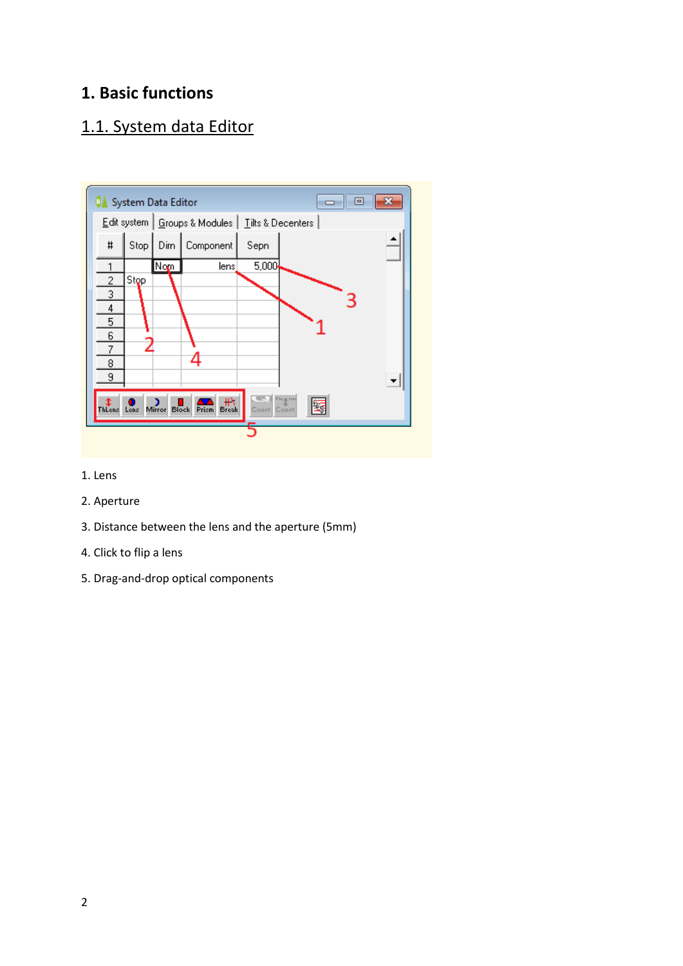#### **1. Basic functions**

## 1.1. System data Editor



- 1. Lens
- 2. Aperture
- 3. Distance between the lens and the aperture (5mm)
- 4. Click to flip a lens
- 5. Drag-and-drop optical components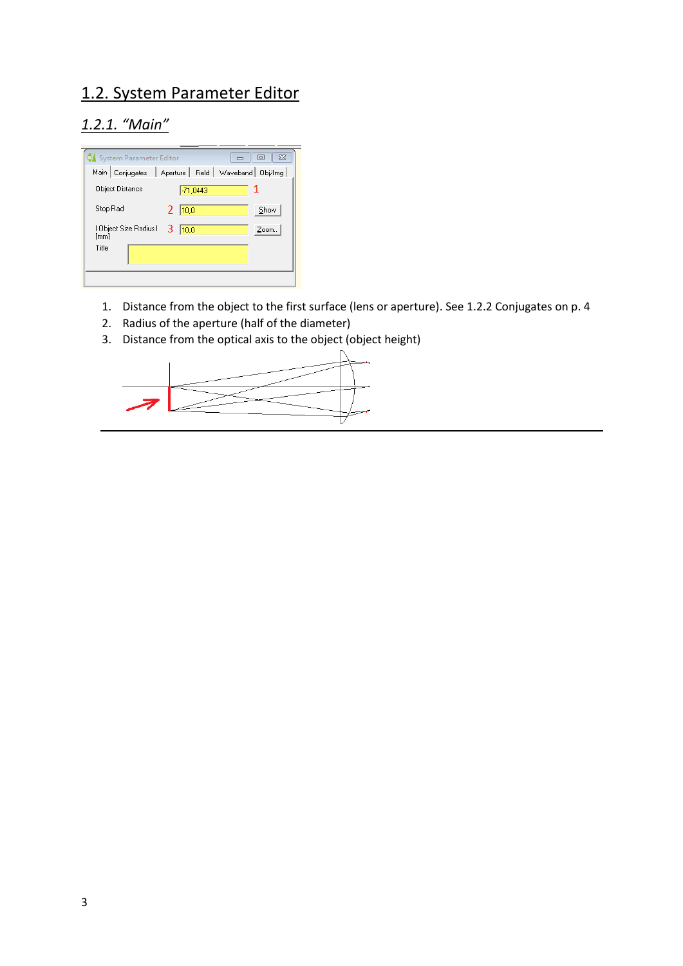### 1.2. System Parameter Editor

### *1.2.1. "Main"*

| $\Sigma$<br>回<br>System Parameter Editor                   |
|------------------------------------------------------------|
| Main   Conjugates<br>Aperture   Field   Waveband   Obj/Img |
| <b>Object Distance</b><br>$-71,0443$                       |
| Stop Rad<br>Show<br> 10,0                                  |
| Object Size Radius  <br>З<br>Zoom<br>10.0<br>[mm]          |
| Title                                                      |
|                                                            |

- 1. Distance from the object to the first surface (lens or aperture). See 1.2.2 Conjugates on p. 4
- 2. Radius of the aperture (half of the diameter)
- 3. Distance from the optical axis to the object (object height)

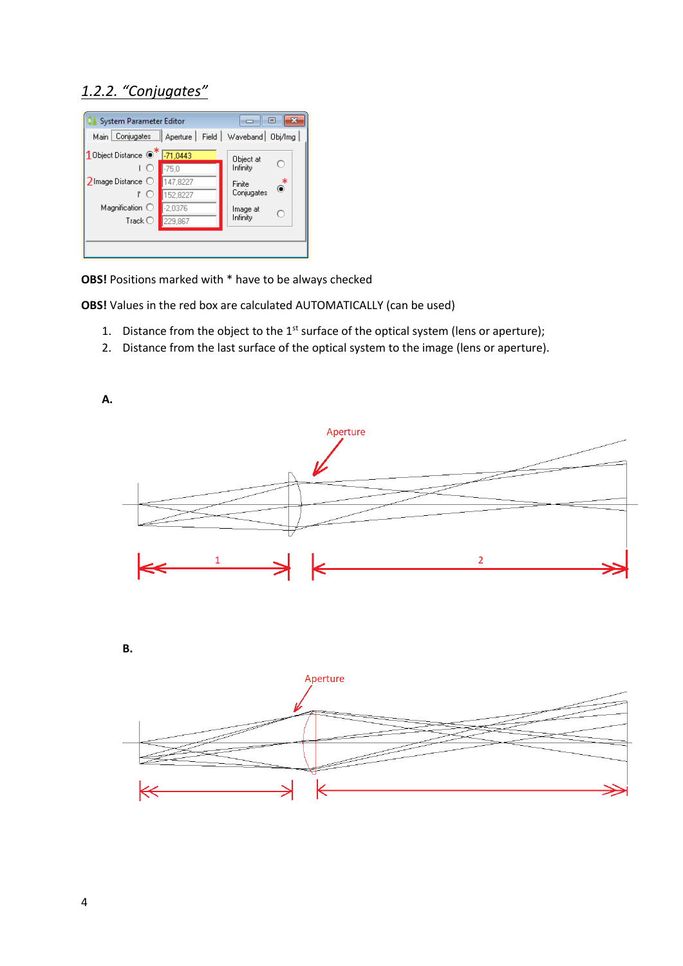#### *1.2.2. "Conjugates"*

| ×<br>⊟<br>System Parameter Editor                             |           |                       |  |  |  |  |  |  |
|---------------------------------------------------------------|-----------|-----------------------|--|--|--|--|--|--|
| Field  <br>Waveband   Obj/Img<br>Main   Conjugates   Aperture |           |                       |  |  |  |  |  |  |
| 10bject Distance <sup>7</sup> -71,0443                        |           | Object at             |  |  |  |  |  |  |
| $\left($ )                                                    | $-75.0$   | O<br>Infinity         |  |  |  |  |  |  |
| $2$ Image Distance $\bigcirc$                                 | 47,8227   | $\bullet^*$<br>Finite |  |  |  |  |  |  |
| ľО                                                            | 152.8227  | Conjugates            |  |  |  |  |  |  |
| Magnification $\bigcirc$                                      | $-2.0376$ | Image at<br>O         |  |  |  |  |  |  |
| Track $\bigcirc$                                              | 229,867   | Infinity              |  |  |  |  |  |  |
|                                                               |           |                       |  |  |  |  |  |  |
|                                                               |           |                       |  |  |  |  |  |  |

**OBS!** Positions marked with \* have to be always checked

**OBS!** Values in the red box are calculated AUTOMATICALLY (can be used)

- 1. Distance from the object to the  $1<sup>st</sup>$  surface of the optical system (lens or aperture);
- 2. Distance from the last surface of the optical system to the image (lens or aperture).

**A.**



**B.**

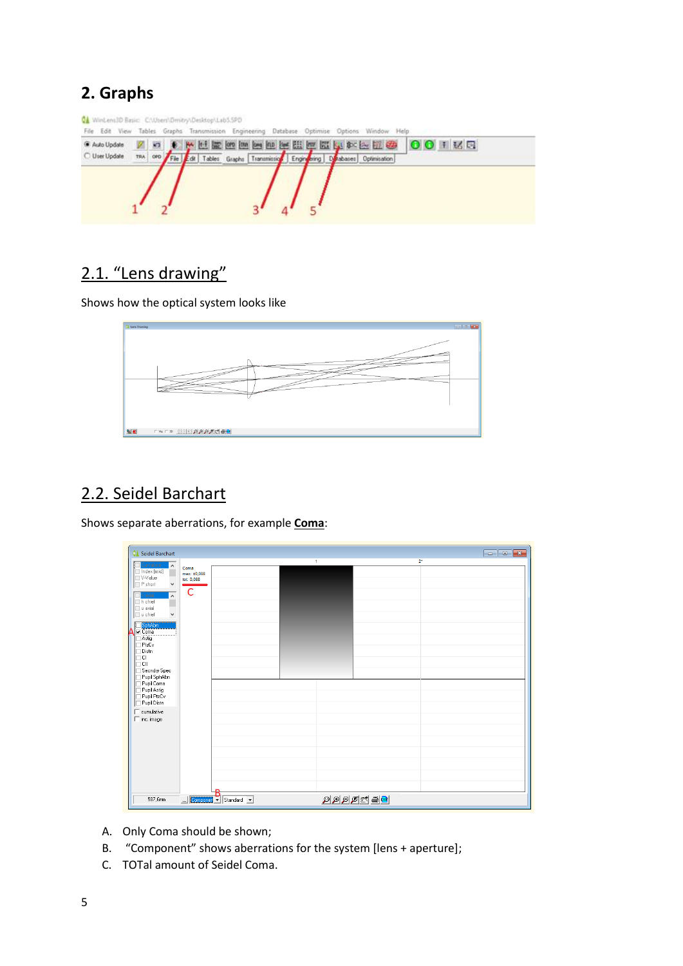## **2. Graphs**

| Auto Update          | $\sqrt{2}$ |  |                                                                        | <b>THE SOUTH AND IN THE REAL PROPERTY AND IN THE REAL PROPERTY OF A REAL PROPERTY AND</b> |
|----------------------|------------|--|------------------------------------------------------------------------|-------------------------------------------------------------------------------------------|
| <b>C</b> User Update | TRA OFD    |  | File Edi Tables Graphs Transmission Engineering Disabases Optimisation |                                                                                           |
|                      |            |  |                                                                        |                                                                                           |
|                      |            |  |                                                                        |                                                                                           |

## 2.1. "Lens drawing"

Shows how the optical system looks like



### 2.2. Seidel Barchart

Shows separate aberrations, for example **Coma**:

- A. Only Coma should be shown;
- B. "Component" shows aberrations for the system [lens + aperture];
- C. TOTal amount of Seidel Coma.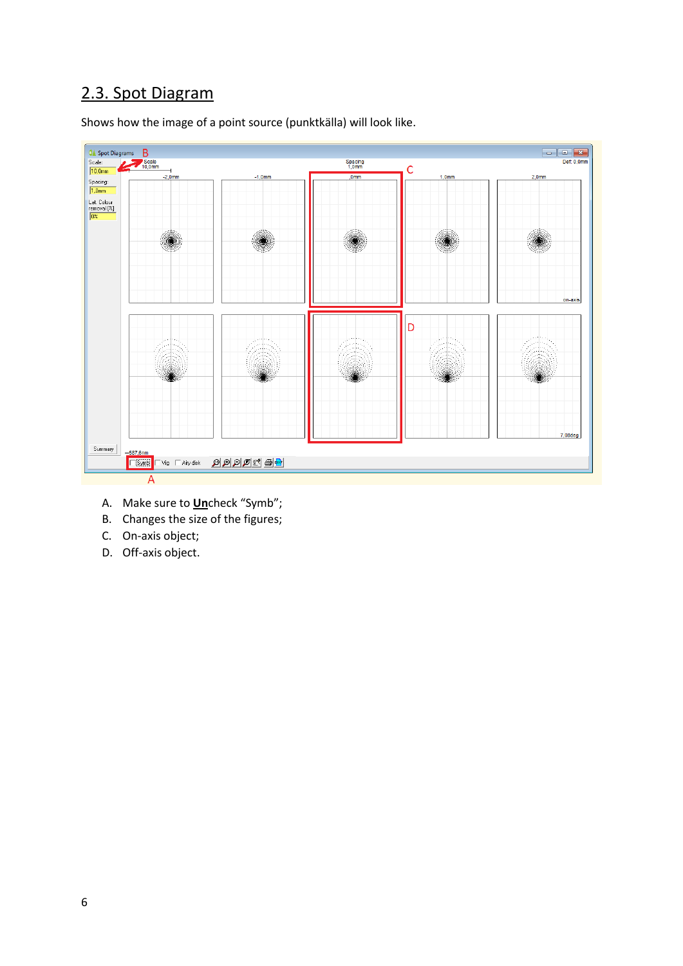## 2.3. Spot Diagram

Shows how the image of a point source (punktkälla) will look like.



- A. Make sure to **Un**check "Symb";
- B. Changes the size of the figures;
- C. On-axis object;
- D. Off-axis object.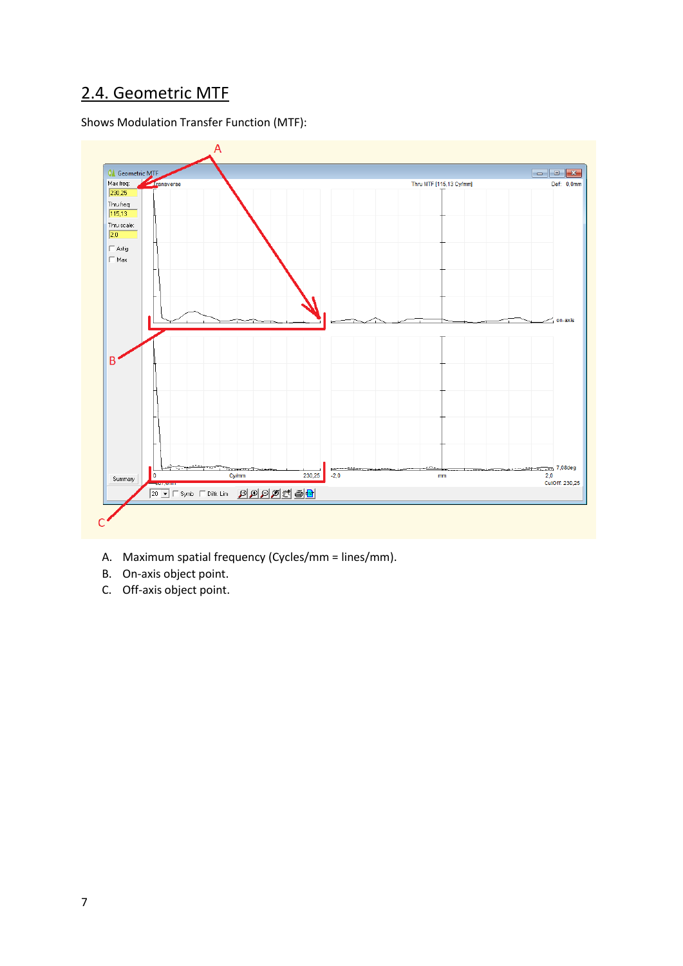### 2.4. Geometric MTF

Shows Modulation Transfer Function (MTF):



- A. Maximum spatial frequency (Cycles/mm = lines/mm).
- B. On-axis object point.
- C. Off-axis object point.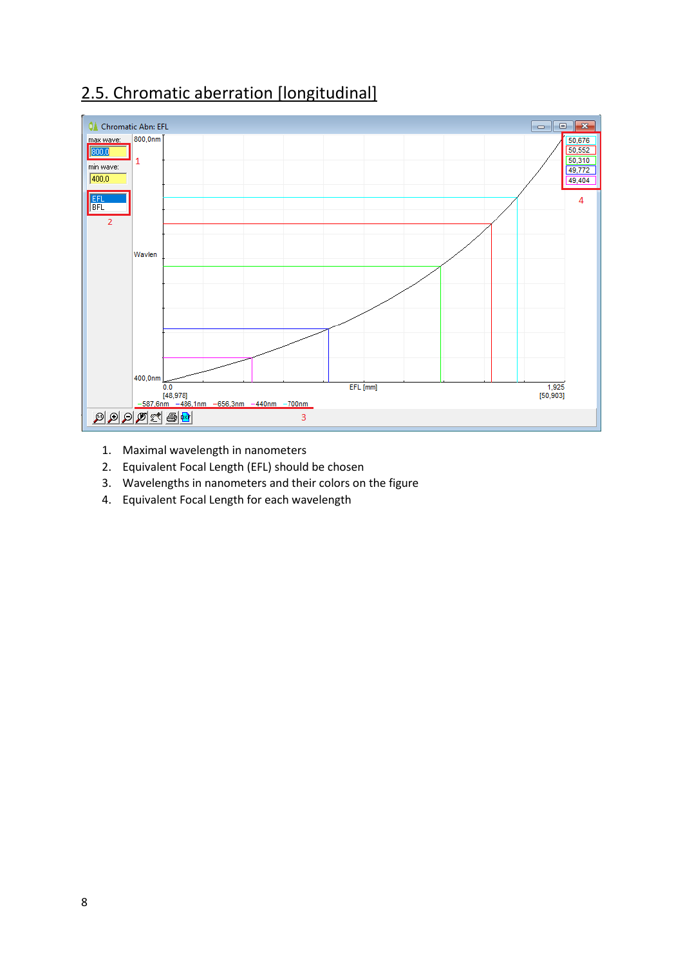## 2.5. Chromatic aberration [longitudinal]



- 1. Maximal wavelength in nanometers
- 2. Equivalent Focal Length (EFL) should be chosen
- 3. Wavelengths in nanometers and their colors on the figure
- 4. Equivalent Focal Length for each wavelength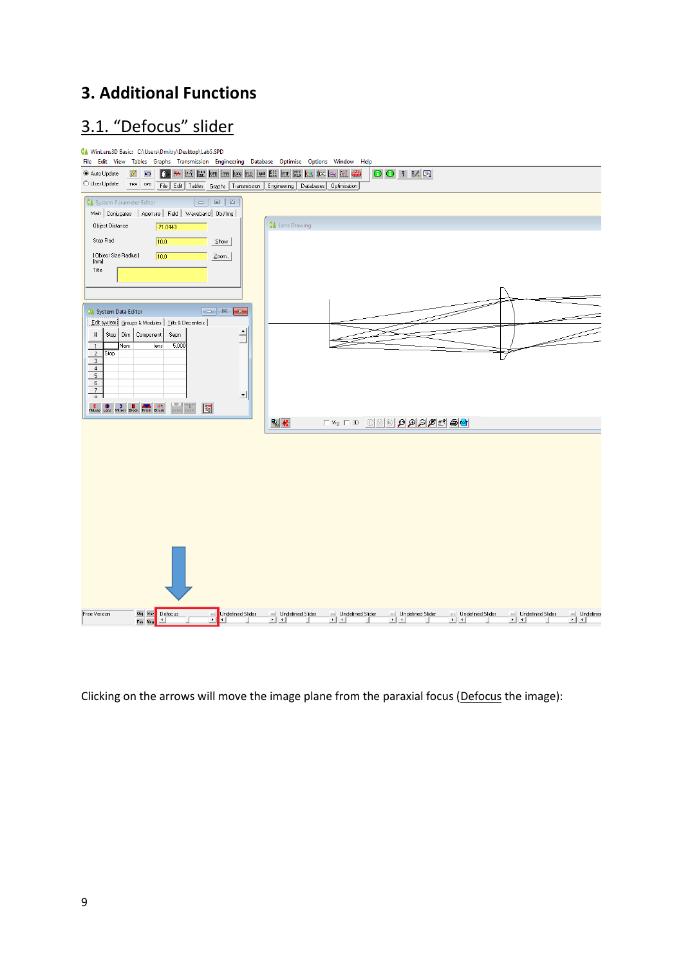### **3. Additional Functions**

## 3.1. "Defocus" slider



Clicking on the arrows will move the image plane from the paraxial focus (Defocus the image):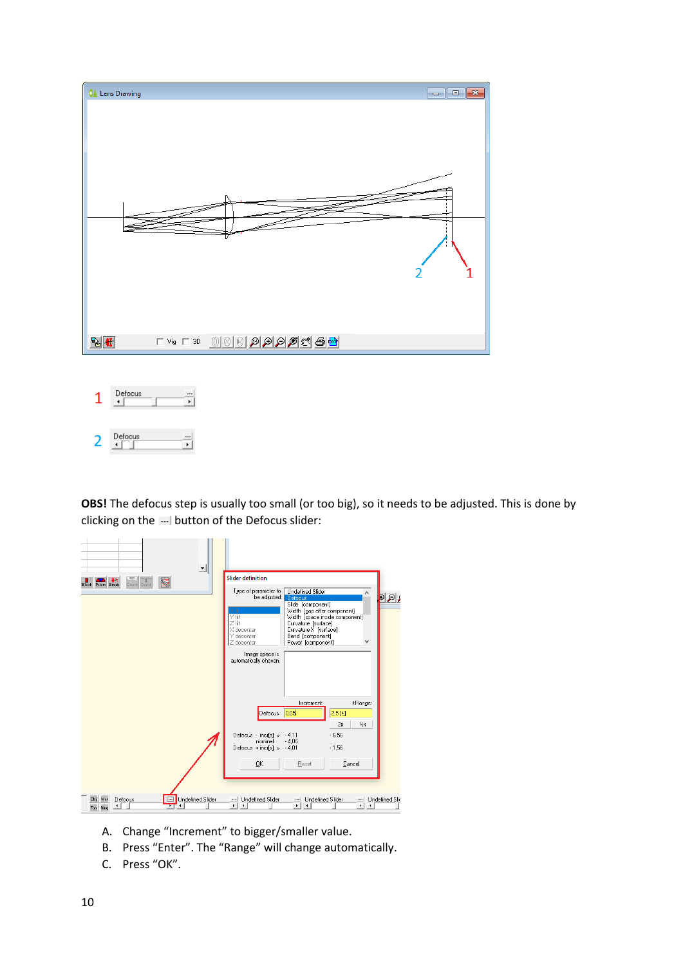

 $\begin{array}{c}\n\text{Defocus} \\
\hline\n\end{array}$  $\overline{2}$ ¥

**OBS!** The defocus step is usually too small (or too big), so it needs to be adjusted. This is done by clicking on the  $-$  button of the Defocus slider:

| $\mathbf{r}$<br>$-1$ $n_{\text{th}}$<br>$P$ rism Break<br>图<br>Convt Convt<br><b>Block</b> | <b>Slider definition</b><br>Type of parameter to<br>be adjusted: Defocus<br>Υüt<br>Ztilt<br>X decenter<br>Y decenter<br>Z decenter<br>Image space is<br>automatically chosen. | <b>Undefined Slider</b><br>Slide [component]<br>Width [gap after component]<br>Width [space inside component]<br>Curvature [surface]<br>Curvature X [surface]<br>Bend [component]<br>Power [component] |                                |                       |
|--------------------------------------------------------------------------------------------|-------------------------------------------------------------------------------------------------------------------------------------------------------------------------------|--------------------------------------------------------------------------------------------------------------------------------------------------------------------------------------------------------|--------------------------------|-----------------------|
|                                                                                            | Defocus 0.05                                                                                                                                                                  | Increment:                                                                                                                                                                                             | ±Range:<br>2,5[±]<br>16x<br>2x |                       |
|                                                                                            | Defocus - incr[s]: »<br>nominal:<br>Defocus + incr[s]: » - 4,01<br>0K                                                                                                         | $-4,11$<br>$-4.06$<br>Reset                                                                                                                                                                            | $-6,56$<br>$-1.56$<br>Cancel   |                       |
| <b>Undefined Slider</b><br>$\Box$<br>Defocus<br>Way<br>ОЫ<br>۰<br>Fan Ring                 | Undefined Slider<br><br>٠<br>$\blacktriangleleft$                                                                                                                             | <b>Undefined Slider</b><br><br>٠                                                                                                                                                                       | $\cdots$<br>×<br>٠             | <b>Undefined Slic</b> |

- A. Change "Increment" to bigger/smaller value.
- B. Press "Enter". The "Range" will change automatically.
- C. Press "OK".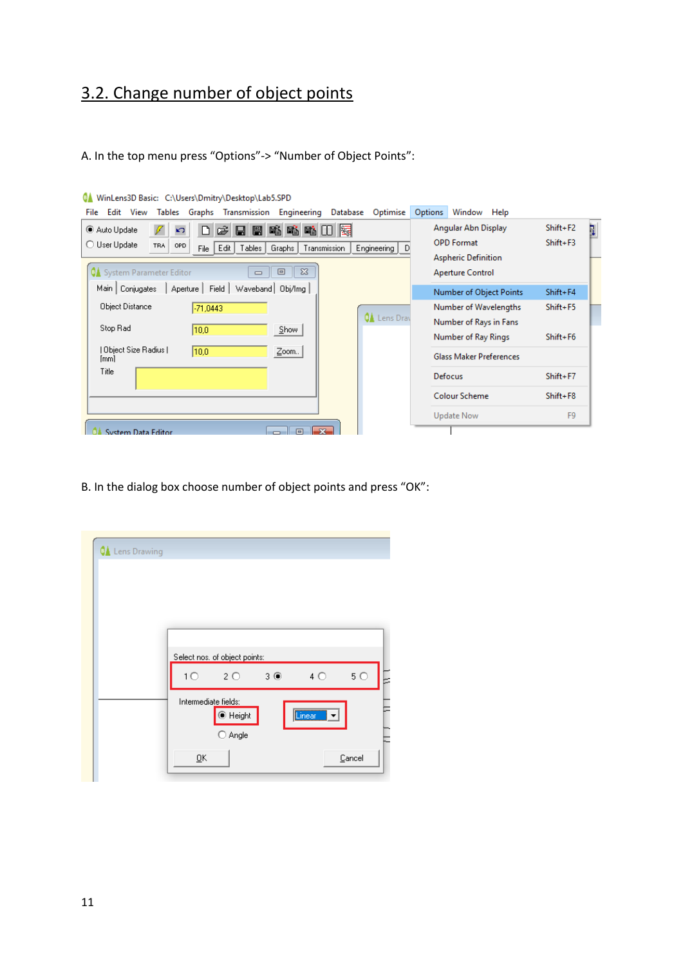## 3.2. Change number of object points

A. In the top menu press "Options"-> "Number of Object Points":

| minimum passer anyouth (printing to complete station b                                                           |                            |                   |
|------------------------------------------------------------------------------------------------------------------|----------------------------|-------------------|
| Graphs Transmission Engineering<br>Optimise<br>View<br><b>Tables</b><br>Database<br>File Edit                    | Options<br>Window Help     |                   |
| 略略略田际<br>Ê<br>图<br>Auto Update<br>n<br>9<br>K)                                                                   | Angular Abn Display        | $Shift + F2$<br>þ |
| O User Update<br><b>TRA</b><br>OPD<br>Engineering<br>Transmission<br>Edit  <br>Tables  <br>Graphs<br>File  <br>D | <b>OPD Format</b>          | $Shift + F3$      |
|                                                                                                                  | <b>Aspheric Definition</b> |                   |
| $\Sigma$<br><b>QA</b> System Parameter Editor<br>回<br>$\Box$                                                     | <b>Aperture Control</b>    |                   |
| Aperture   Field  <br>Main   Conjugates<br>Waveband   Obj/Img                                                    | Number of Object Points    | $Shift + F4$      |
| Object Distance<br>$-71,0443$                                                                                    | Number of Wavelengths      | $Shift + F5$      |
| <b>QA</b> Lens Dray                                                                                              | Number of Rays in Fans     |                   |
| Stop Rad<br>10,0<br>$S$ how                                                                                      | Number of Ray Rings        | $Shift+F6$        |
| Object Size Radius   <br>10.0<br>$Z$ oom<br>[mm]                                                                 | Glass Maker Preferences    |                   |
| Title                                                                                                            | Defocus                    | $Shift + F7$      |
|                                                                                                                  | <b>Colour Scheme</b>       | $Shift + F8$      |
|                                                                                                                  | Update Now                 | F <sub>9</sub>    |
| $\overline{\mathbf{x}}$<br><b>System Data Editor</b><br>同                                                        |                            |                   |

WinLens3D Basic: C:\Users\Dmitry\Desktop\Lab5.SPD

B. In the dialog box choose number of object points and press "OK":

| <b>QA</b> Lens Drawing |                                    |                                                  |                       |           |
|------------------------|------------------------------------|--------------------------------------------------|-----------------------|-----------|
|                        |                                    | Select nos, of object points:                    |                       |           |
|                        | 10                                 | $20 \t30$                                        | $4^\circ$             | $5^\circ$ |
|                        | Intermediate fields:               | $\textcolor{blue}{\bullet}$ Height<br>Angle<br>O | <del></del><br>Linear |           |
|                        | $\underline{\mathsf{O}}\mathsf{K}$ |                                                  |                       | Cancel    |